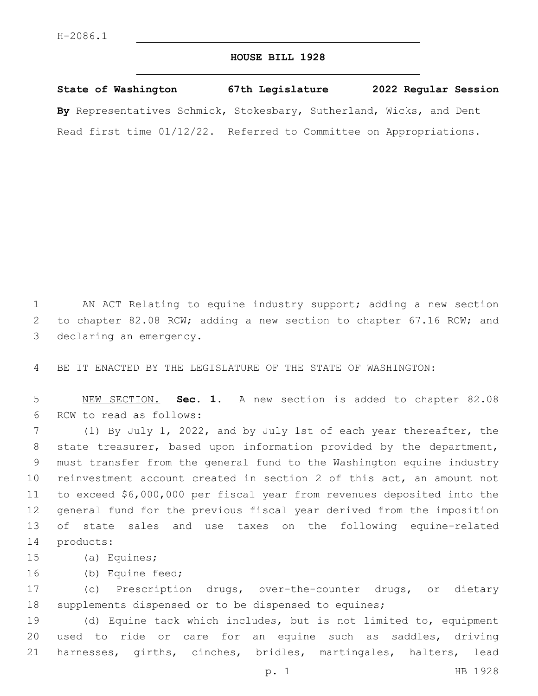## **HOUSE BILL 1928**

**State of Washington 67th Legislature 2022 Regular Session By** Representatives Schmick, Stokesbary, Sutherland, Wicks, and Dent Read first time 01/12/22. Referred to Committee on Appropriations.

1 AN ACT Relating to equine industry support; adding a new section 2 to chapter 82.08 RCW; adding a new section to chapter 67.16 RCW; and 3 declaring an emergency.

4 BE IT ENACTED BY THE LEGISLATURE OF THE STATE OF WASHINGTON:

5 NEW SECTION. **Sec. 1.** A new section is added to chapter 82.08 6 RCW to read as follows:

 (1) By July 1, 2022, and by July 1st of each year thereafter, the state treasurer, based upon information provided by the department, must transfer from the general fund to the Washington equine industry reinvestment account created in section 2 of this act, an amount not to exceed \$6,000,000 per fiscal year from revenues deposited into the general fund for the previous fiscal year derived from the imposition of state sales and use taxes on the following equine-related 14 products:

- 15 (a) Equines;
- 16 (b) Equine feed;

17 (c) Prescription drugs, over-the-counter drugs, or dietary 18 supplements dispensed or to be dispensed to equines;

19 (d) Equine tack which includes, but is not limited to, equipment 20 used to ride or care for an equine such as saddles, driving 21 harnesses, girths, cinches, bridles, martingales, halters, lead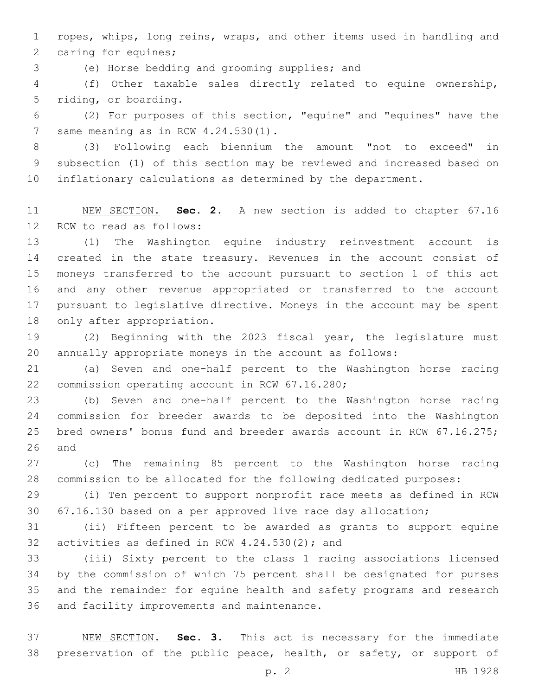ropes, whips, long reins, wraps, and other items used in handling and 2 caring for equines;

(e) Horse bedding and grooming supplies; and3

 (f) Other taxable sales directly related to equine ownership, 5 riding, or boarding.

 (2) For purposes of this section, "equine" and "equines" have the 7 same meaning as in RCW  $4.24.530(1)$ .

 (3) Following each biennium the amount "not to exceed" in subsection (1) of this section may be reviewed and increased based on inflationary calculations as determined by the department.

 NEW SECTION. **Sec. 2.** A new section is added to chapter 67.16 12 RCW to read as follows:

 (1) The Washington equine industry reinvestment account is created in the state treasury. Revenues in the account consist of moneys transferred to the account pursuant to section 1 of this act and any other revenue appropriated or transferred to the account pursuant to legislative directive. Moneys in the account may be spent 18 only after appropriation.

 (2) Beginning with the 2023 fiscal year, the legislature must annually appropriate moneys in the account as follows:

 (a) Seven and one-half percent to the Washington horse racing 22 commission operating account in RCW 67.16.280;

 (b) Seven and one-half percent to the Washington horse racing commission for breeder awards to be deposited into the Washington bred owners' bonus fund and breeder awards account in RCW 67.16.275; and

 (c) The remaining 85 percent to the Washington horse racing commission to be allocated for the following dedicated purposes:

 (i) Ten percent to support nonprofit race meets as defined in RCW 67.16.130 based on a per approved live race day allocation;

 (ii) Fifteen percent to be awarded as grants to support equine 32 activities as defined in RCW  $4.24.530(2)$ ; and

 (iii) Sixty percent to the class 1 racing associations licensed by the commission of which 75 percent shall be designated for purses and the remainder for equine health and safety programs and research 36 and facility improvements and maintenance.

 NEW SECTION. **Sec. 3.** This act is necessary for the immediate preservation of the public peace, health, or safety, or support of